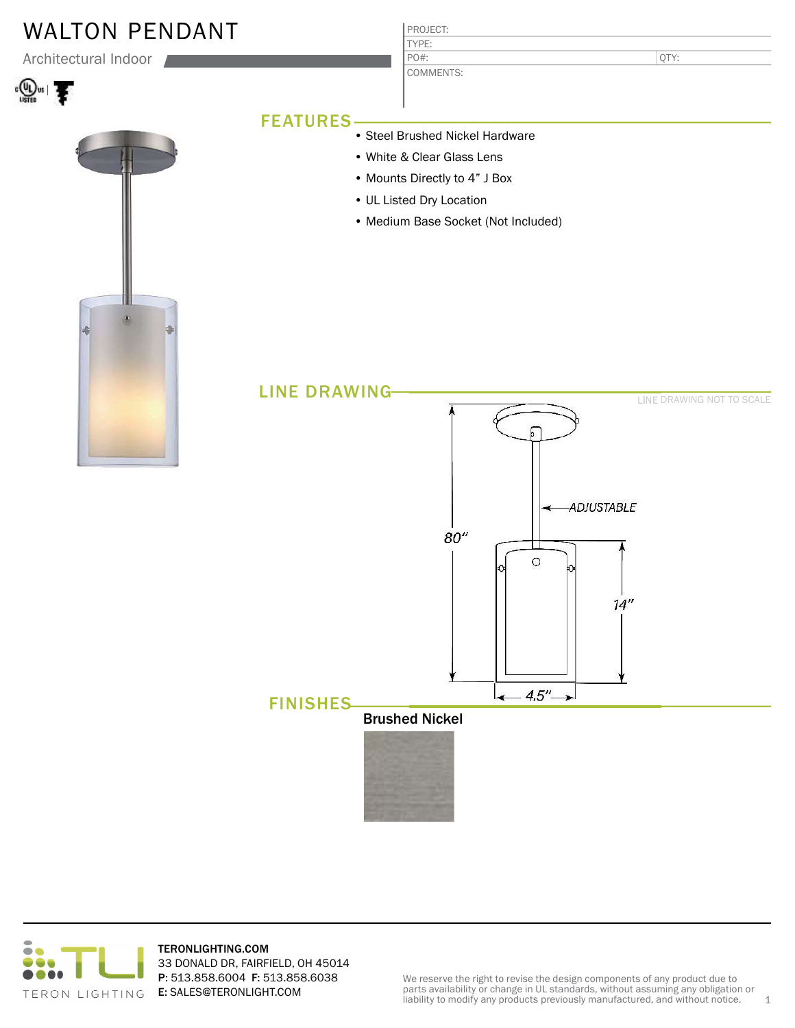# WALTON PENDANT

Architectural Indoor







### PROJECT: TYPE:

COMMENTS: PO#:

QTY:

## FEATURES

- Steel Brushed Nickel Hardware
- White & Clear Glass Lens
- Mounts Directly to 4" J Box
- UL Listed Dry Location
- Medium Base Socket (Not Included)





TERONLIGHTING.COM 33 DONALD DR, FAIRFIELD, OH 45014 P: 513.858.6004 F: 513.858.6038 E: SALES@TERONLIGHT.COM